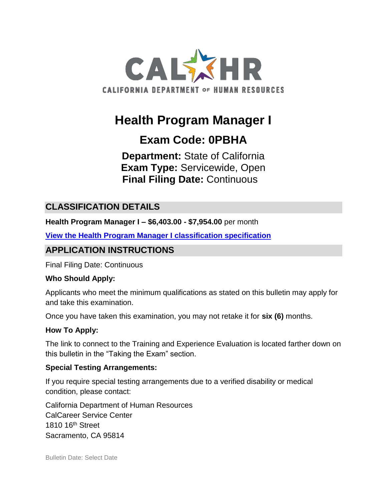

# **Health Program Manager I**

# **Exam Code: 0PBHA**

**Department:** State of California **Exam Type:** Servicewide, Open **Final Filing Date:** Continuous

### **CLASSIFICATION DETAILS**

**Health Program Manager I – \$6,403.00 - \$7,954.00** per month

**[View the Health Program Manager I classification specification](https://www.calhr.ca.gov/state-hr-professionals/pages/8337.aspx)**

### **APPLICATION INSTRUCTIONS**

Final Filing Date: Continuous

#### **Who Should Apply:**

Applicants who meet the minimum qualifications as stated on this bulletin may apply for and take this examination.

Once you have taken this examination, you may not retake it for **six (6)** months.

#### **How To Apply:**

The link to connect to the Training and Experience Evaluation is located farther down on this bulletin in the "Taking the Exam" section.

#### **Special Testing Arrangements:**

If you require special testing arrangements due to a verified disability or medical condition, please contact:

California Department of Human Resources CalCareer Service Center 1810 16<sup>th</sup> Street Sacramento, CA 95814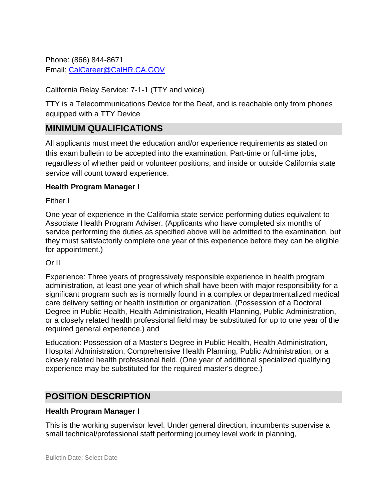Phone: (866) 844-8671 Email: [CalCareer@CalHR.CA.GOV](mailto:CalCareer@CalHR.CA.GOV)

#### California Relay Service: 7-1-1 (TTY and voice)

TTY is a Telecommunications Device for the Deaf, and is reachable only from phones equipped with a TTY Device

#### **MINIMUM QUALIFICATIONS**

All applicants must meet the education and/or experience requirements as stated on this exam bulletin to be accepted into the examination. Part-time or full-time jobs, regardless of whether paid or volunteer positions, and inside or outside California state service will count toward experience.

#### **Health Program Manager I**

Either I

One year of experience in the California state service performing duties equivalent to Associate Health Program Adviser. (Applicants who have completed six months of service performing the duties as specified above will be admitted to the examination, but they must satisfactorily complete one year of this experience before they can be eligible for appointment.)

#### Or II

Experience: Three years of progressively responsible experience in health program administration, at least one year of which shall have been with major responsibility for a significant program such as is normally found in a complex or departmentalized medical care delivery setting or health institution or organization. (Possession of a Doctoral Degree in Public Health, Health Administration, Health Planning, Public Administration, or a closely related health professional field may be substituted for up to one year of the required general experience.) and

Education: Possession of a Master's Degree in Public Health, Health Administration, Hospital Administration, Comprehensive Health Planning, Public Administration, or a closely related health professional field. (One year of additional specialized qualifying experience may be substituted for the required master's degree.)

### **POSITION DESCRIPTION**

#### **Health Program Manager I**

This is the working supervisor level. Under general direction, incumbents supervise a small technical/professional staff performing journey level work in planning,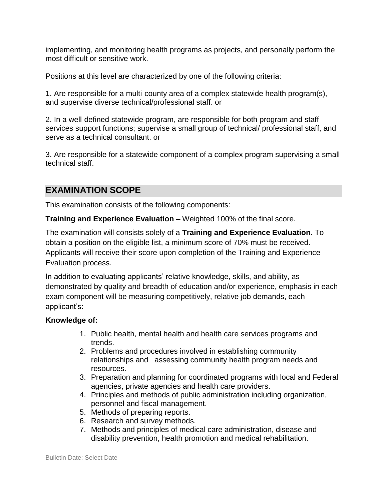implementing, and monitoring health programs as projects, and personally perform the most difficult or sensitive work.

Positions at this level are characterized by one of the following criteria:

1. Are responsible for a multi-county area of a complex statewide health program(s), and supervise diverse technical/professional staff. or

2. In a well-defined statewide program, are responsible for both program and staff services support functions; supervise a small group of technical/ professional staff, and serve as a technical consultant. or

3. Are responsible for a statewide component of a complex program supervising a small technical staff.

### **EXAMINATION SCOPE**

This examination consists of the following components:

**Training and Experience Evaluation –** Weighted 100% of the final score.

The examination will consists solely of a **Training and Experience Evaluation.** To obtain a position on the eligible list, a minimum score of 70% must be received. Applicants will receive their score upon completion of the Training and Experience Evaluation process.

In addition to evaluating applicants' relative knowledge, skills, and ability, as demonstrated by quality and breadth of education and/or experience, emphasis in each exam component will be measuring competitively, relative job demands, each applicant's:

#### **Knowledge of:**

- 1. Public health, mental health and health care services programs and trends.
- 2. Problems and procedures involved in establishing community relationships and assessing community health program needs and resources.
- 3. Preparation and planning for coordinated programs with local and Federal agencies, private agencies and health care providers.
- 4. Principles and methods of public administration including organization, personnel and fiscal management.
- 5. Methods of preparing reports.
- 6. Research and survey methods.
- 7. Methods and principles of medical care administration, disease and disability prevention, health promotion and medical rehabilitation.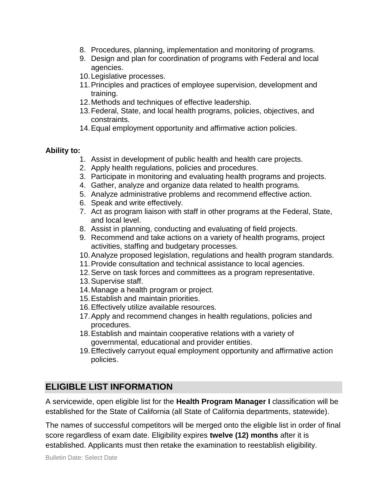- 8. Procedures, planning, implementation and monitoring of programs.
- 9. Design and plan for coordination of programs with Federal and local agencies.
- 10.Legislative processes.
- 11.Principles and practices of employee supervision, development and training.
- 12.Methods and techniques of effective leadership.
- 13.Federal, State, and local health programs, policies, objectives, and constraints.
- 14.Equal employment opportunity and affirmative action policies.

#### **Ability to:**

- 1. Assist in development of public health and health care projects.
- 2. Apply health regulations, policies and procedures.
- 3. Participate in monitoring and evaluating health programs and projects.
- 4. Gather, analyze and organize data related to health programs.
- 5. Analyze administrative problems and recommend effective action.
- 6. Speak and write effectively.
- 7. Act as program liaison with staff in other programs at the Federal, State, and local level.
- 8. Assist in planning, conducting and evaluating of field projects.
- 9. Recommend and take actions on a variety of health programs, project activities, staffing and budgetary processes.
- 10.Analyze proposed legislation, regulations and health program standards.
- 11.Provide consultation and technical assistance to local agencies.
- 12.Serve on task forces and committees as a program representative.
- 13.Supervise staff.
- 14.Manage a health program or project.
- 15.Establish and maintain priorities.
- 16.Effectively utilize available resources.
- 17.Apply and recommend changes in health regulations, policies and procedures.
- 18.Establish and maintain cooperative relations with a variety of governmental, educational and provider entities.
- 19.Effectively carryout equal employment opportunity and affirmative action policies.

### **ELIGIBLE LIST INFORMATION**

A servicewide, open eligible list for the **Health Program Manager I** classification will be established for the State of California (all State of California departments, statewide).

The names of successful competitors will be merged onto the eligible list in order of final score regardless of exam date. Eligibility expires **twelve (12) months** after it is established. Applicants must then retake the examination to reestablish eligibility.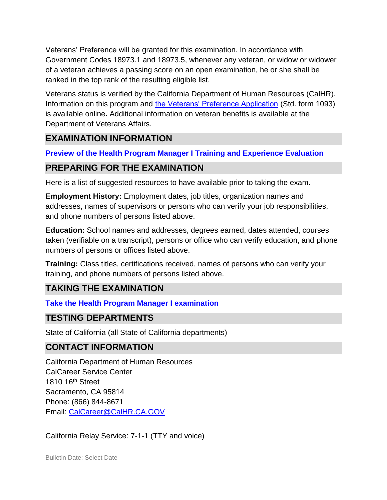Veterans' Preference will be granted for this examination. In accordance with Government Codes 18973.1 and 18973.5, whenever any veteran, or widow or widower of a veteran achieves a passing score on an open examination, he or she shall be ranked in the top rank of the resulting eligible list.

Veterans status is verified by the California Department of Human Resources (CalHR). Information on this program and [the Veterans' Preference Application](https://www.jobs.ca.gov/CalHRPublic/Landing/Jobs/VeteransInformation.aspx) (Std. form 1093) is available online**.** Additional information on veteran benefits is available at the Department of Veterans Affairs.

### **EXAMINATION INFORMATION**

**[Preview of the Health Program Manager I](https://jobs.ca.gov/jobsgen/0PBHAa.pdf) Training and Experience Evaluation** 

### **PREPARING FOR THE EXAMINATION**

Here is a list of suggested resources to have available prior to taking the exam.

**Employment History:** Employment dates, job titles, organization names and addresses, names of supervisors or persons who can verify your job responsibilities, and phone numbers of persons listed above.

**Education:** School names and addresses, degrees earned, dates attended, courses taken (verifiable on a transcript), persons or office who can verify education, and phone numbers of persons or offices listed above.

**Training:** Class titles, certifications received, names of persons who can verify your training, and phone numbers of persons listed above.

### **TAKING THE EXAMINATION**

**Take the [Health Program Manager I](https://www.jobs.ca.gov/CalHRPublic/Login.aspx?ExamId=0PBHA) examination**

### **TESTING DEPARTMENTS**

State of California (all State of California departments)

### **CONTACT INFORMATION**

California Department of Human Resources CalCareer Service Center 1810 16th Street Sacramento, CA 95814 Phone: (866) 844-8671 Email: [CalCareer@CalHR.CA.GOV](mailto:CalCareer@CalHR.CA.GOV)

California Relay Service: 7-1-1 (TTY and voice)

Bulletin Date: Select Date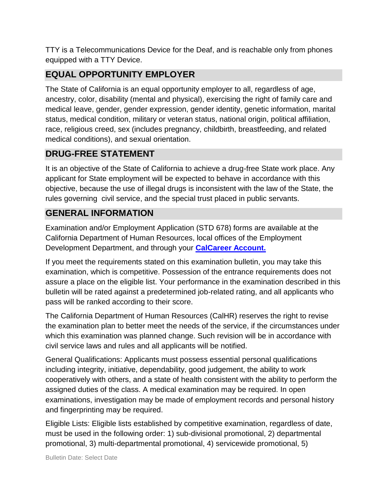TTY is a Telecommunications Device for the Deaf, and is reachable only from phones equipped with a TTY Device.

### **EQUAL OPPORTUNITY EMPLOYER**

The State of California is an equal opportunity employer to all, regardless of age, ancestry, color, disability (mental and physical), exercising the right of family care and medical leave, gender, gender expression, gender identity, genetic information, marital status, medical condition, military or veteran status, national origin, political affiliation, race, religious creed, sex (includes pregnancy, childbirth, breastfeeding, and related medical conditions), and sexual orientation.

## **DRUG-FREE STATEMENT**

It is an objective of the State of California to achieve a drug-free State work place. Any applicant for State employment will be expected to behave in accordance with this objective, because the use of illegal drugs is inconsistent with the law of the State, the rules governing civil service, and the special trust placed in public servants.

# **GENERAL INFORMATION**

Examination and/or Employment Application (STD 678) forms are available at the California Department of Human Resources, local offices of the Employment Development Department, and through your **[CalCareer Account.](http://www.jobs.ca.gov/)**

If you meet the requirements stated on this examination bulletin, you may take this examination, which is competitive. Possession of the entrance requirements does not assure a place on the eligible list. Your performance in the examination described in this bulletin will be rated against a predetermined job-related rating, and all applicants who pass will be ranked according to their score.

The California Department of Human Resources (CalHR) reserves the right to revise the examination plan to better meet the needs of the service, if the circumstances under which this examination was planned change. Such revision will be in accordance with civil service laws and rules and all applicants will be notified.

General Qualifications: Applicants must possess essential personal qualifications including integrity, initiative, dependability, good judgement, the ability to work cooperatively with others, and a state of health consistent with the ability to perform the assigned duties of the class. A medical examination may be required. In open examinations, investigation may be made of employment records and personal history and fingerprinting may be required.

Eligible Lists: Eligible lists established by competitive examination, regardless of date, must be used in the following order: 1) sub-divisional promotional, 2) departmental promotional, 3) multi-departmental promotional, 4) servicewide promotional, 5)